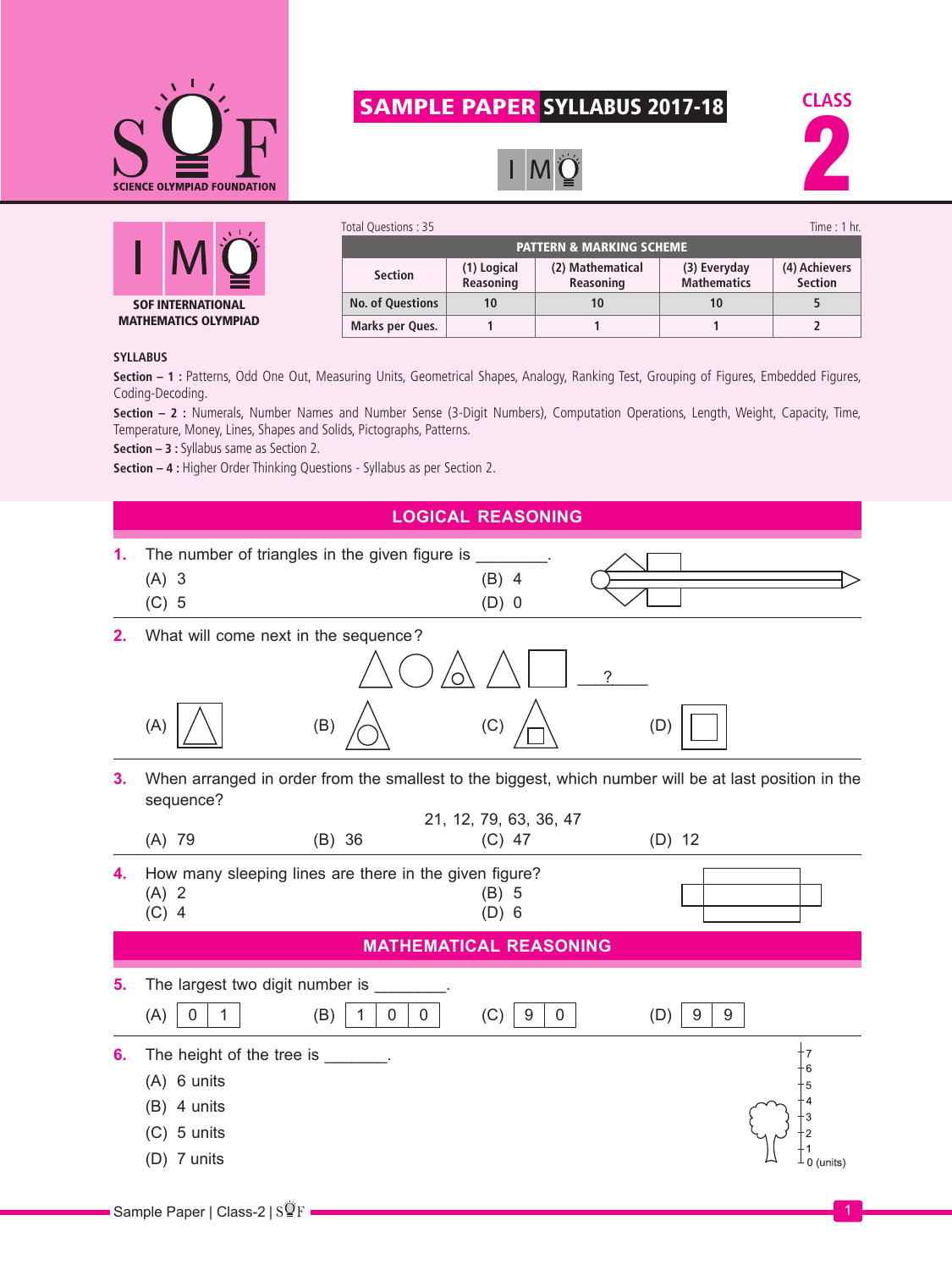

## SAMPLE PAPER SYLLABUS 2017-18







| Total Questions : 35                |                          |                               |                                    | Time $: 1$ hr.                  |  |  |
|-------------------------------------|--------------------------|-------------------------------|------------------------------------|---------------------------------|--|--|
| <b>PATTERN &amp; MARKING SCHEME</b> |                          |                               |                                    |                                 |  |  |
| <b>Section</b>                      | (1) Logical<br>Reasoning | (2) Mathematical<br>Reasoning | (3) Everyday<br><b>Mathematics</b> | (4) Achievers<br><b>Section</b> |  |  |
| <b>No. of Questions</b>             | 10                       | 10                            | 10                                 |                                 |  |  |
| Marks per Ques.                     |                          |                               |                                    |                                 |  |  |

## **SYLLABUS**

Section - 1 : Patterns, Odd One Out, Measuring Units, Geometrical Shapes, Analogy, Ranking Test, Grouping of Figures, Embedded Figures, Coding-Decoding.

**Section – 2 :** Numerals, Number Names and Number Sense (3-Digit Numbers), Computation Operations, Length, Weight, Capacity, Time, Temperature, Money, Lines, Shapes and Solids, Pictographs, Patterns.

**Section – 3 :** Syllabus same as Section 2.

**Section – 4 :** Higher Order Thinking Questions - Syllabus as per Section 2.

|    |                                                                                                                    |               |   | <b>LOGICAL REASONING</b>      |   |               |           |
|----|--------------------------------------------------------------------------------------------------------------------|---------------|---|-------------------------------|---|---------------|-----------|
| 1. | $(A)$ 3<br>$(C)$ 5                                                                                                 |               |   | $(B)$ 4<br>$(D)$ 0            |   |               |           |
| 2. | What will come next in the sequence?                                                                               |               |   |                               | 7 |               |           |
|    | (A)                                                                                                                | (B)           |   | (C)                           |   | (D)           |           |
| 3. | When arranged in order from the smallest to the biggest, which number will be at last position in the<br>sequence? |               |   | 21, 12, 79, 63, 36, 47        |   |               |           |
|    | $(A)$ 79                                                                                                           | $(B)$ 36      |   | $(C)$ 47                      |   | $(D)$ 12      |           |
| 4. | How many sleeping lines are there in the given figure?<br>$(A)$ 2<br>$(C)$ 4                                       |               |   | $(B)$ 5<br>$(D)$ 6            |   |               |           |
|    |                                                                                                                    |               |   | <b>MATHEMATICAL REASONING</b> |   |               |           |
| 5. | The largest two digit number is ____                                                                               |               |   |                               |   |               |           |
|    | (A)<br>0<br>1                                                                                                      | (B)<br>0<br>1 | 0 | (C)<br>9<br>$\overline{0}$    |   | (D)<br>9<br>9 |           |
| 6. | The height of the tree is _______.<br>(A) 6 units<br>$(B)$ 4 units<br>$(C)$ 5 units<br>(D) 7 units                 |               |   |                               |   |               | 0 (units) |